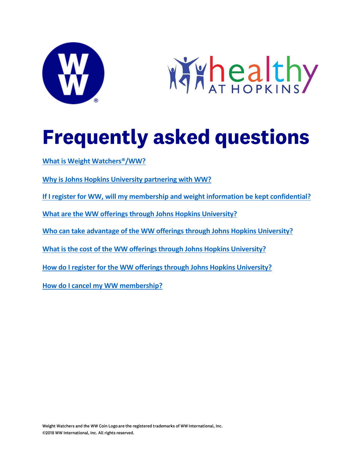



# **Frequently asked questions**

**[What is Weight Watchers®/WW?](#page-0-0)**

**[Why is Johns Hopkins University](#page-1-0) partnering with WW?**

**[If I register for WW, will my membership and weight information be kept confidential?](#page-1-1)**

**What are the WW offerings [through Johns Hopkins University?](#page-1-2)**

**[Who can take advantage of the WW offerings](#page-2-0) through Johns Hopkins University?**

**[What is the cost of the WW offerings](#page-2-1) through Johns Hopkins University?**

**[How do I register for the WW offerings](#page-2-2) through Johns Hopkins University?**

<span id="page-0-0"></span>**[How do I cancel my WW membership?](#page-3-0)**

Weight Watchers and the WW Coin Logo are the registered trademarks of WW International, Inc. ©2018 WW International, Inc. All rights reserved.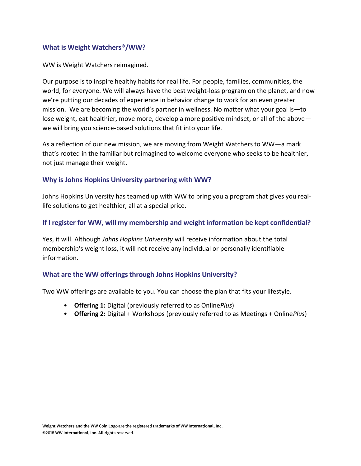#### **What is Weight Watchers®/WW?**

WW is Weight Watchers reimagined.

Our purpose is to inspire healthy habits for real life. For people, families, communities, the world, for everyone. We will always have the best weight-loss program on the planet, and now we're putting our decades of experience in behavior change to work for an even greater mission. We are becoming the world's partner in wellness. No matter what your goal is—to lose weight, eat healthier, move more, develop a more positive mindset, or all of the above we will bring you science-based solutions that fit into your life.

As a reflection of our new mission, we are moving from Weight Watchers to WW—a mark that's rooted in the familiar but reimagined to welcome everyone who seeks to be healthier, not just manage their weight.

#### <span id="page-1-0"></span>**Why is Johns Hopkins University partnering with WW?**

Johns Hopkins University has teamed up with WW to bring you a program that gives you reallife solutions to get healthier, all at a special price.

# <span id="page-1-1"></span>**If I register for WW, will my membership and weight information be kept confidential?**

Yes, it will. Although *Johns Hopkins University* will receive information about the total membership's weight loss, it will not receive any individual or personally identifiable information.

# <span id="page-1-2"></span>**What are the WW offerings through Johns Hopkins University?**

Two WW offerings are available to you. You can choose the plan that fits your lifestyle.

- **Offering 1:** Digital (previously referred to as Online*Plus*)
- **Offering 2:** Digital + Workshops (previously referred to as Meetings + Online*Plus*)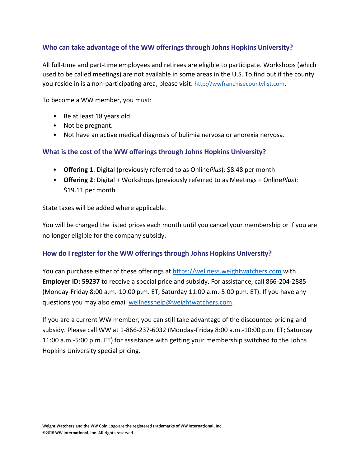# <span id="page-2-0"></span>**Who can take advantage of the WW offerings through Johns Hopkins University?**

All full-time and part-time employees and retirees are eligible to participate. Workshops (which used to be called meetings) are not available in some areas in the U.S. To find out if the county you reside in is a non-participating area, please visit: [http://wwfranchisecountylist.com](http://wwfranchisecountylist.com/).

To become a WW member, you must:

- Be at least 18 years old.
- Not be pregnant.
- Not have an active medical diagnosis of bulimia nervosa or anorexia nervosa.

# <span id="page-2-1"></span>**What is the cost of the WW offerings through Johns Hopkins University?**

- **Offering 1**: Digital (previously referred to as Online*Plus*): \$8.48 per month
- **Offering 2**: Digital + Workshops (previously referred to as Meetings + Online*Plus*): \$19.11 per month

State taxes will be added where applicable.

You will be charged the listed prices each month until you cancel your membership or if you are no longer eligible for the company subsidy.

#### <span id="page-2-2"></span>**How do I register for the WW offerings through Johns Hopkins University?**

You can purchase either of these offerings at [https://wellness.weightwatchers.com](https://wellness.weightwatchers.com/) with **Employer ID: 59237** to receive a special price and subsidy. For assistance, call 866-204-2885 (Monday-Friday 8:00 a.m.-10:00 p.m. ET; Saturday 11:00 a.m.-5:00 p.m. ET). If you have any questions you may also email [wellnesshelp@weightwatchers.com.](mailto:wellnesshelp@weightwatchers.com)

If you are a current WW member, you can still take advantage of the discounted pricing and subsidy. Please call WW at 1-866-237-6032 (Monday-Friday 8:00 a.m.-10:00 p.m. ET; Saturday 11:00 a.m.-5:00 p.m. ET) for assistance with getting your membership switched to the Johns Hopkins University special pricing.